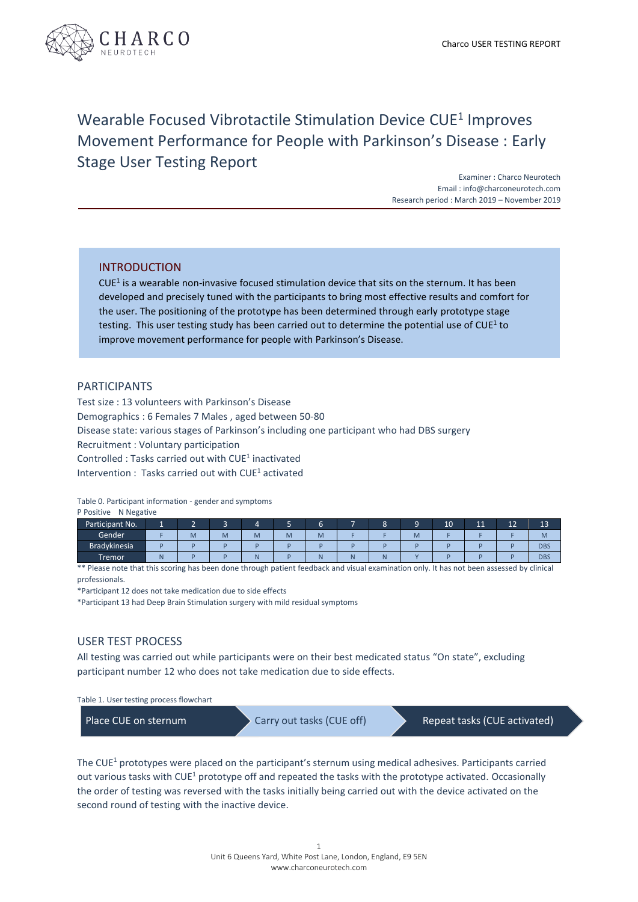

# Wearable Focused Vibrotactile Stimulation Device CUE<sup>1</sup> Improves Movement Performance for People with Parkinson's Disease : Early Stage User Testing Report

Examiner : Charco Neurotech Email : info@charconeurotech.com Research period : March 2019 – November 2019

## INTRODUCTION

 $CUE<sup>1</sup>$  is a wearable non-invasive focused stimulation device that sits on the sternum. It has been developed and precisely tuned with the participants to bring most effective results and comfort for the user. The positioning of the prototype has been determined through early prototype stage testing. This user testing study has been carried out to determine the potential use of CUE<sup>1</sup> to improve movement performance for people with Parkinson's Disease.

#### PARTICIPANTS

Test size : 13 volunteers with Parkinson's Disease Demographics : 6 Females 7 Males , aged between 50-80 Disease state: various stages of Parkinson's including one participant who had DBS surgery Recruitment : Voluntary participation Controlled : Tasks carried out with CUE<sup>1</sup> inactivated Intervention : Tasks carried out with CUE<sup>1</sup> activated

Table 0. Participant information - gender and symptoms

| P Positive<br>N Negative |    |   |   |   |   |        |   |   |   |    |    |    |            |
|--------------------------|----|---|---|---|---|--------|---|---|---|----|----|----|------------|
| Participant No.          | ٠. | ▃ | ╺ | 4 |   | -<br>b |   | Ō |   | 10 | 11 | 12 | 13         |
| Gender                   |    | M | M | M | M | M      |   |   | M |    |    |    | M          |
| <b>Bradykinesia</b>      |    |   |   |   |   |        |   |   |   |    |    |    | <b>DBS</b> |
| Tremor <sup>1</sup>      | N  |   |   | N |   | Ñ      | N |   |   |    |    |    | <b>DBS</b> |

\*\* Please note that this scoring has been done through patient feedback and visual examination only. It has not been assessed by clinical professionals.

\*Participant 12 does not take medication due to side effects

\*Participant 13 had Deep Brain Stimulation surgery with mild residual symptoms

### USER TEST PROCESS

All testing was carried out while participants were on their best medicated status "On state", excluding participant number 12 who does not take medication due to side effects.

Table 1. User testing process flowchart

Place CUE on sternum Carry out tasks (CUE off) Repeat tasks (CUE activated)

The CUE<sup>1</sup> prototypes were placed on the participant's sternum using medical adhesives. Participants carried out various tasks with CUE<sup>1</sup> prototype off and repeated the tasks with the prototype activated. Occasionally the order of testing was reversed with the tasks initially being carried out with the device activated on the second round of testing with the inactive device.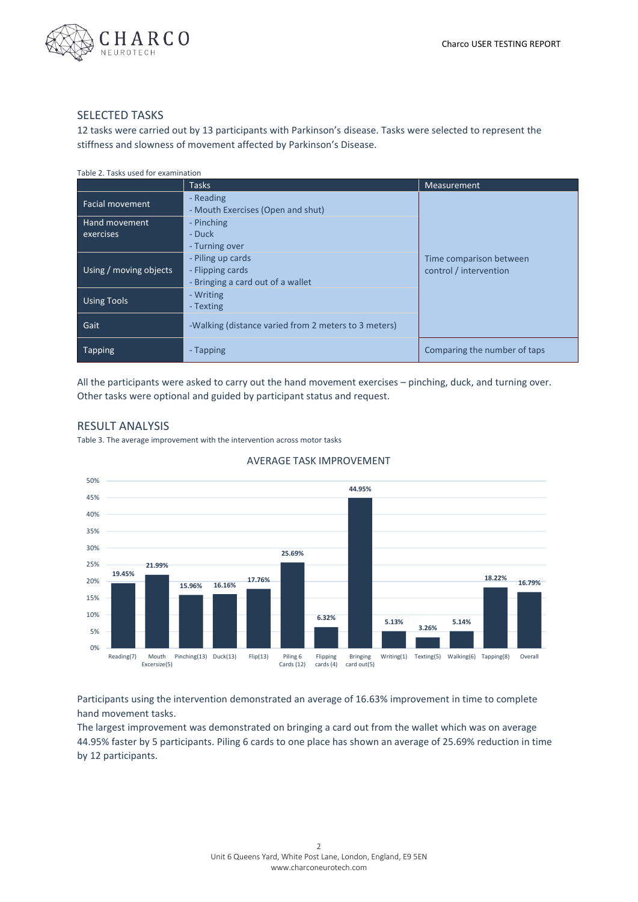

#### SELECTED TASKS

12 tasks were carried out by 13 participants with Parkinson's disease. Tasks were selected to represent the stiffness and slowness of movement affected by Parkinson's Disease.

| Table 2. Tasks used for examination |                                                                            |                                                   |  |  |  |
|-------------------------------------|----------------------------------------------------------------------------|---------------------------------------------------|--|--|--|
|                                     | <b>Tasks</b>                                                               | <b>Measurement</b>                                |  |  |  |
| <b>Facial movement</b>              | - Reading<br>- Mouth Exercises (Open and shut)                             |                                                   |  |  |  |
| Hand movement<br>exercises          | - Pinching<br>- Duck<br>- Turning over                                     |                                                   |  |  |  |
| Using / moving objects              | - Piling up cards<br>- Flipping cards<br>- Bringing a card out of a wallet | Time comparison between<br>control / intervention |  |  |  |
| <b>Using Tools</b>                  | - Writing<br>- Texting                                                     |                                                   |  |  |  |
| Gait                                | -Walking (distance varied from 2 meters to 3 meters)                       |                                                   |  |  |  |
| <b>Tapping</b>                      | - Tapping                                                                  | Comparing the number of taps                      |  |  |  |

All the participants were asked to carry out the hand movement exercises – pinching, duck, and turning over. Other tasks were optional and guided by participant status and request.

# RESULT ANALYSIS

Table 3. The average improvement with the intervention across motor tasks



#### AVERAGE TASK IMPROVEMENT

Participants using the intervention demonstrated an average of 16.63% improvement in time to complete hand movement tasks.

The largest improvement was demonstrated on bringing a card out from the wallet which was on average 44.95% faster by 5 participants. Piling 6 cards to one place has shown an average of 25.69% reduction in time by 12 participants.